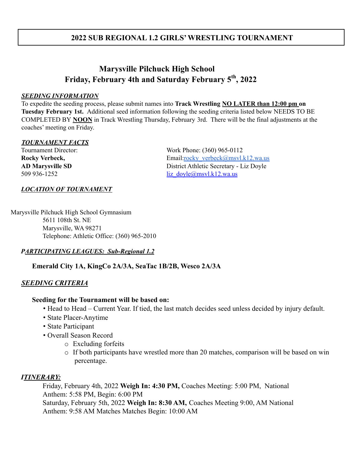## 22**2022 SUB REGIONAL 1.2 GIRLS'WRESTLING TOURNAMENT**2

# **Marysville Pilchuck High School Friday, February 4th and Saturday February 5 th , 2022**

#### *SEEDING INFORMATION*

To expedite the seeding process, please submit names into **Track Wrestling NO LATER than 12:00 pm on Tuesday February 1st.** Additional seed information following the seeding criteria listed below NEEDS TO BE COMPLETED BY **NOON** in Track Wrestling Thursday, February 3rd. There will be the final adjustments at the coaches' meeting on Friday.

#### *TOURNAMENT FACTS*

Tournament Director: **Rocky Verbeck, AD Marysville SD** 509 936-1252

Work Phone: (360) 965-0112 Email[:rocky\\_verbeck@msvl.k12.wa.us](mailto:rocky_verbeck@msvl.k12.wa.us) District Athletic Secretary - Liz Doyle liz\_doyle@msvl.k12.wa.us

#### *LOCATION OF TOURNAMENT*

Marysville Pilchuck High School Gymnasium 5611 108th St. NE Marysville, WA 98271 Telephone: Athletic Office: (360) 965-2010

#### *PARTICIPATING LEAGUES: Sub-Regional 1.2*

#### **Emerald City 1A, KingCo 2A/3A, SeaTac 1B/2B, Wesco 2A/3A**

#### *SEEDING CRITERIA*

#### **Seeding for the Tournament will be based on:**

- Head to Head Current Year. If tied, the last match decides seed unless decided by injury default.
- State Placer-Anytime
- State Participant
- Overall Season Record
	- o Excluding forfeits
	- $\circ$  If both participants have wrestled more than 20 matches, comparison will be based on win percentage.

#### *ITINERARY:*

Friday, February 4th, 2022 **Weigh In: 4:30 PM,** Coaches Meeting: 5:00 PM, National Anthem: 5:58 PM, Begin: 6:00 PM Saturday, February 5th, 2022 **Weigh In: 8:30 AM,** Coaches Meeting 9:00, AM National Anthem: 9:58 AM Matches Matches Begin: 10:00 AM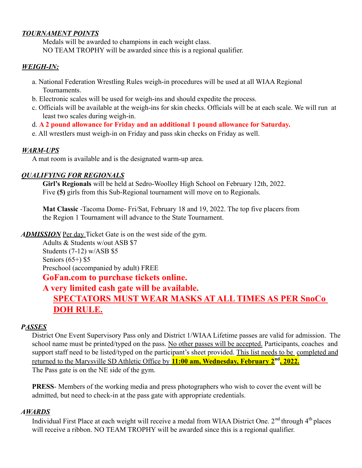#### *TOURNAMENT POINTS*

Medals will be awarded to champions in each weight class. NO TEAM TROPHY will be awarded since this is a regional qualifier.

### *WEIGH-IN:*

- a. National Federation Wrestling Rules weigh-in procedures will be used at all WIAA Regional Tournaments.
- b. Electronic scales will be used for weigh-ins and should expedite the process.
- c. Officials will be available at the weigh-ins for skin checks. Officials will be at each scale. We will run at least two scales during weigh-in.
- d. **A 2 pound allowance for Friday and an additional 1 pound allowance for Saturday.**
- e. All wrestlers must weigh-in on Friday and pass skin checks on Friday as well.

#### *WARM-UPS*

A mat room is available and is the designated warm-up area.

## *QUALIFYING FOR REGIONALS*

**Girl's Regionals** will be held at Sedro-Woolley High School on February 12th, 2022. Five **(5)** girls from this Sub-Regional tournament will move on to Regionals.

**Mat Classic** -Tacoma Dome- Fri/Sat, February 18 and 19, 2022. The top five placers from the Region 1 Tournament will advance to the State Tournament.

*ADMISSION* Per day Ticket Gate is on the west side of the gym.

Adults & Students w/out ASB \$7 Students (7-12) w/ASB \$5 Seniors (65+) \$5 Preschool (accompanied by adult) FREE

**GoFan.com to purchase tickets online.**

## **A very limited cash gate will be available.**

# **SPECTATORS MUST WEAR MASKS AT ALL TIMES AS PER SnoCo DOH RULE.**

## *PASSES*

District One Event Supervisory Pass only and District 1/WIAA Lifetime passes are valid for admission. The school name must be printed/typed on the pass. No other passes will be accepted. Participants, coaches and support staff need to be listed/typed on the participant's sheet provided. This list needs to be completed and returned to the Marysville SD Athletic Office by **11:00 am, Wednesday, February 2nd , 2022.** The Pass gate is on the NE side of the gym.

**PRESS**- Members of the working media and press photographers who wish to cover the event will be admitted, but need to check-in at the pass gate with appropriate credentials.

## *AWARDS*

Individual First Place at each weight will receive a medal from WIAA District One.  $2<sup>nd</sup>$  through  $4<sup>th</sup>$  places will receive a ribbon. NO TEAM TROPHY will be awarded since this is a regional qualifier.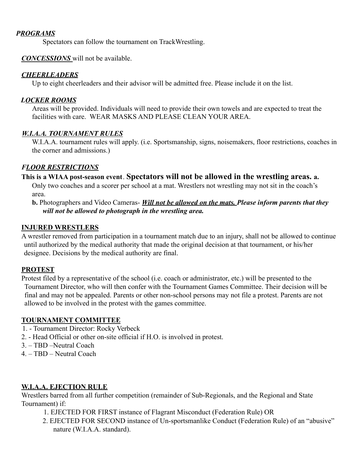### *PROGRAMS*

Spectators can follow the tournament on TrackWrestling.

*CONCESSIONS* will not be available.

#### *CHEERLEADERS*

Up to eight cheerleaders and their advisor will be admitted free. Please include it on the list.

#### *LOCKER ROOMS*

Areas will be provided. Individuals will need to provide their own towels and are expected to treat the facilities with care. WEAR MASKS AND PLEASE CLEAN YOUR AREA.

#### *W.I.A.A. TOURNAMENT RULES*

W.I.A.A. tournament rules will apply. (i.e. Sportsmanship, signs, noisemakers, floor restrictions, coaches in the corner and admissions.)

## *FLOOR RESTRICTIONS*

## **This is a WIAA post-season event**. **Spectators will not be allowed in the wrestling areas. a.**

Only two coaches and a scorer per school at a mat. Wrestlers not wrestling may not sit in the coach's area.

**b.** Photographers and Video Cameras- *Will not be allowed on the mats. Please inform parents that they will not be allowed to photograph in the wrestling area.*

#### **INJURED WRESTLERS**

A wrestler removed from participation in a tournament match due to an injury, shall not be allowed to continue until authorized by the medical authority that made the original decision at that tournament, or his/her designee. Decisions by the medical authority are final.

## **PROTEST**

Protest filed by a representative of the school (i.e. coach or administrator, etc.) will be presented to the Tournament Director, who will then confer with the Tournament Games Committee. Their decision will be final and may not be appealed. Parents or other non-school persons may not file a protest. Parents are not allowed to be involved in the protest with the games committee.

#### **TOURNAMENT COMMITTEE**

- 1. Tournament Director: Rocky Verbeck
- 2. Head Official or other on-site official if H.O. is involved in protest.
- 3. TBD –Neutral Coach
- 4. TBD Neutral Coach

## **W.I.A.A. EJECTION RULE**

Wrestlers barred from all further competition (remainder of Sub-Regionals, and the Regional and State Tournament) if:

- 1. EJECTED FOR FIRST instance of Flagrant Misconduct (Federation Rule) OR
- 2. EJECTED FOR SECOND instance of Un-sportsmanlike Conduct (Federation Rule) of an "abusive" nature (W.I.A.A. standard).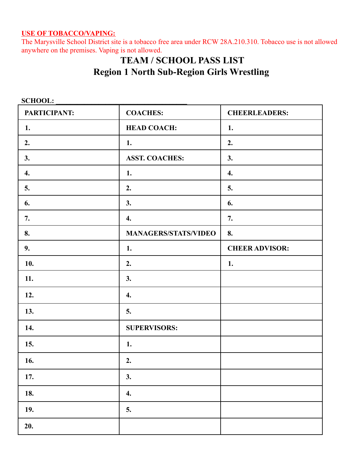## **USE OF TOBACCO/VAPING:**

The Marysville School District site is a tobacco free area under RCW 28A.210.310. Tobacco use is not allowed anywhere on the premises. Vaping is not allowed.

# **TEAM / SCHOOL PASS LIST Region 1 North Sub-Region Girls Wrestling**

 $SCH OOL:$ PARTICIPANT: COACHES: **COACHES:** CHEERLEADERS: **1. HEAD COACH: 1. 2. 1. 2. 3. ASST. COACHES: 3. 4. 1. 4. 5. 2. 5. 6. 3. 6. 7. 4. 7. 8. MANAGERS/STATS/VIDEO 8. 9. 1. CHEER ADVISOR: 10. 2. 1. 11.**  $\begin{array}{|c|c|c|c|} \hline \textbf{3.} & \textbf{3.} \end{array}$ **12. 4. 13. 5. 14. SUPERVISORS: 15. 1. 16.**  $\boxed{2}$ . **17.**  $\begin{array}{|c|c|c|} \hline \end{array}$  3. **18. 18. 18. 19. 5. 20.**